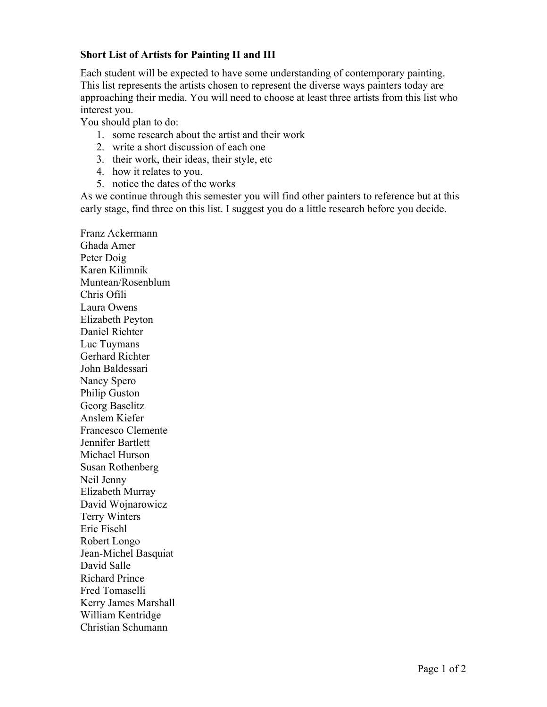## **Short List of Artists for Painting II and III**

Each student will be expected to have some understanding of contemporary painting. This list represents the artists chosen to represent the diverse ways painters today are approaching their media. You will need to choose at least three artists from this list who interest you.

You should plan to do:

- 1. some research about the artist and their work
- 2. write a short discussion of each one
- 3. their work, their ideas, their style, etc
- 4. how it relates to you.
- 5. notice the dates of the works

As we continue through this semester you will find other painters to reference but at this early stage, find three on this list. I suggest you do a little research before you decide.

Franz Ackermann Ghada Amer Peter Doig Karen Kilimnik Muntean/Rosenblum Chris Ofili Laura Owens Elizabeth Peyton Daniel Richter Luc Tuymans Gerhard Richter John Baldessari Nancy Spero Philip Guston Georg Baselitz Anslem Kiefer Francesco Clemente Jennifer Bartlett Michael Hurson Susan Rothenberg Neil Jenny Elizabeth Murray David Wojnarowicz Terry Winters Eric Fischl Robert Longo Jean-Michel Basquiat David Salle Richard Prince Fred Tomaselli Kerry James Marshall William Kentridge Christian Schumann